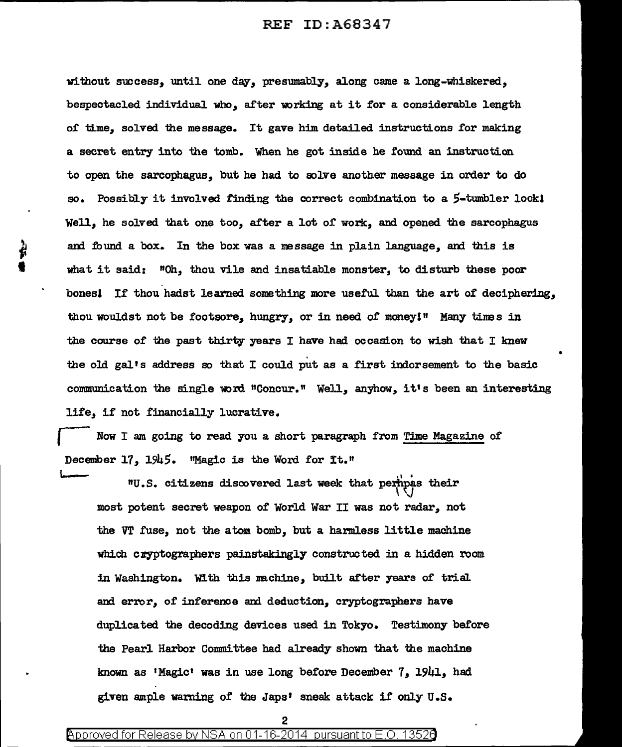without success, until one day, presumably, along came a long-whiskered, bespectacled individual who, after working at it for a considerable length of time, solved the message. It gave him detailed instructions for making a secret entry into the tomb. When he got inside he round an instruction to open the sarcophagus, but he had to solve another message in order to do so. Possibly it involved finding the correct combination to a  $5$ -tumbler lockl Well, he solved that one too, after a lot of work, and opened the sarcophagus and found a box. In the box was a message in plain language, and this is what it said:  $"On,$  thou vile and insatiable monster, to disturb these poor bonesl If thou hadst learned something more useful than the art of deciphering, thou wouldst not be footsore, hungry, or in need of money I" Many tines in the course of the past thirty years I have had occasion to wish that I knew the old gal's address so that I could put as a first indorsement to the basic communication the single word "Concur." Well, anyhow, it's been an interesting life, if not financially lucrative.

Now I am going to read you a short paragraph from Time Magazine of December  $17$ ,  $1945$ . "Magic is the Word for It."

December 17, 1945. "Magic is the word for it."<br>MU.S. citizens discovered last week that permipas their  $\mathcal{U}$ most potent secret weapon of' World War II was not radar, not the VT fuse, not the atom bomb, but a harmless little machine which cryptographers painstakingly constructed in a hidden room in Washington. With this machine, built after years of trial and error, of inference and deduction, cryptographers have duplicated the decoding devices used in Tokyo. Testimony before the Pearl Harbor Committee had already shown that the machine known as •Magic' was in use long before December 7, 1941, had given ample warning of the Japs' sneak attack if only U.S.

2